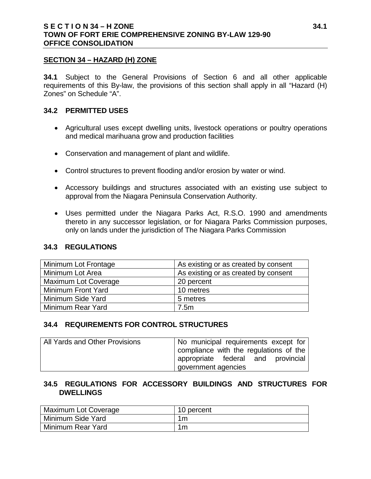#### **SECTION 34 – HAZARD (H) ZONE**

**34.1** Subject to the General Provisions of Section 6 and all other applicable requirements of this By-law, the provisions of this section shall apply in all "Hazard (H) Zones" on Schedule "A".

#### **34.2 PERMITTED USES**

- Agricultural uses except dwelling units, livestock operations or poultry operations and medical marihuana grow and production facilities
- Conservation and management of plant and wildlife.
- Control structures to prevent flooding and/or erosion by water or wind.
- Accessory buildings and structures associated with an existing use subject to approval from the Niagara Peninsula Conservation Authority.
- Uses permitted under the Niagara Parks Act, R.S.O. 1990 and amendments thereto in any successor legislation, or for Niagara Parks Commission purposes, only on lands under the jurisdiction of The Niagara Parks Commission

### **34.3 REGULATIONS**

| Minimum Lot Frontage        | As existing or as created by consent |
|-----------------------------|--------------------------------------|
| Minimum Lot Area            | As existing or as created by consent |
| <b>Maximum Lot Coverage</b> | 20 percent                           |
| Minimum Front Yard          | 10 metres                            |
| Minimum Side Yard           | 5 metres                             |
| Minimum Rear Yard           | 7.5m                                 |

#### **34.4 REQUIREMENTS FOR CONTROL STRUCTURES**

| All Yards and Other Provisions | No municipal requirements except for   |
|--------------------------------|----------------------------------------|
|                                | compliance with the regulations of the |
|                                | appropriate federal and provincial     |
|                                | government agencies                    |

### **34.5 REGULATIONS FOR ACCESSORY BUILDINGS AND STRUCTURES FOR DWELLINGS**

| Maximum Lot Coverage | 10 percent |
|----------------------|------------|
| Minimum Side Yard    | 1m         |
| Minimum Rear Yard    | 1m         |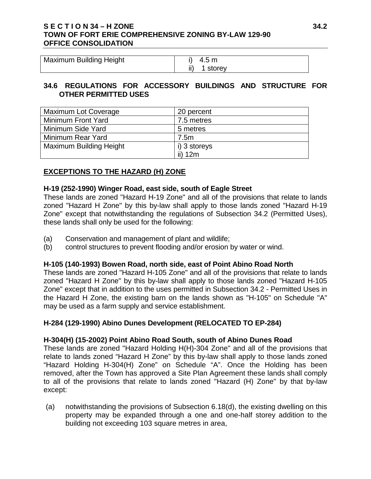# **S E C T I O N 34 – H ZONE 34.2 TOWN OF FORT ERIE COMPREHENSIVE ZONING BY-LAW 129-90 OFFICE CONSOLIDATION**

| <b>Maximum Building Height</b> | i) $4.5 m$   |
|--------------------------------|--------------|
|                                | ii) 1 storey |

#### **34.6 REGULATIONS FOR ACCESSORY BUILDINGS AND STRUCTURE FOR OTHER PERMITTED USES**

| <b>Maximum Lot Coverage</b>    | 20 percent   |
|--------------------------------|--------------|
| Minimum Front Yard             | 7.5 metres   |
| Minimum Side Yard              | 5 metres     |
| Minimum Rear Yard              | 7.5m         |
| <b>Maximum Building Height</b> | i) 3 storeys |
|                                | ii) 12m      |

# **EXCEPTIONS TO THE HAZARD (H) ZONE**

#### **H-19 (252-1990) Winger Road, east side, south of Eagle Street**

These lands are zoned "Hazard H-19 Zone" and all of the provisions that relate to lands zoned "Hazard H Zone" by this by-law shall apply to those lands zoned "Hazard H-19 Zone" except that notwithstanding the regulations of Subsection 34.2 (Permitted Uses), these lands shall only be used for the following:

- (a) Conservation and management of plant and wildlife;
- (b) control structures to prevent flooding and/or erosion by water or wind.

#### **H-105 (140-1993) Bowen Road, north side, east of Point Abino Road North**

These lands are zoned "Hazard H-105 Zone" and all of the provisions that relate to lands zoned "Hazard H Zone" by this by-law shall apply to those lands zoned "Hazard H-105 Zone" except that in addition to the uses permitted in Subsection 34.2 - Permitted Uses in the Hazard H Zone, the existing barn on the lands shown as "H-105" on Schedule "A" may be used as a farm supply and service establishment.

#### **H-284 (129-1990) Abino Dunes Development (RELOCATED TO EP-284)**

#### **H-304(H) (15-2002) Point Abino Road South, south of Abino Dunes Road**

These lands are zoned "Hazard Holding H(H)-304 Zone" and all of the provisions that relate to lands zoned "Hazard H Zone" by this by-law shall apply to those lands zoned "Hazard Holding H-304(H) Zone" on Schedule "A". Once the Holding has been removed, after the Town has approved a Site Plan Agreement these lands shall comply to all of the provisions that relate to lands zoned "Hazard (H) Zone" by that by-law except:

(a) notwithstanding the provisions of Subsection 6.18(d), the existing dwelling on this property may be expanded through a one and one-half storey addition to the building not exceeding 103 square metres in area,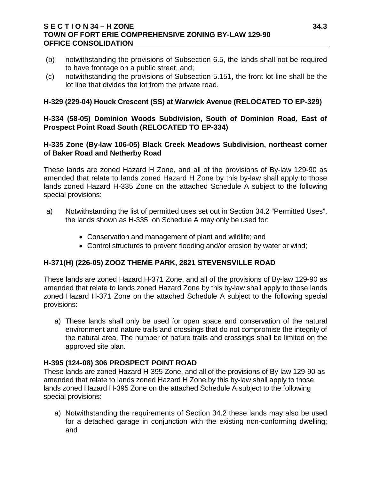### **S E C T I O N 34 – H ZONE 34.3 TOWN OF FORT ERIE COMPREHENSIVE ZONING BY-LAW 129-90 OFFICE CONSOLIDATION**

- (b) notwithstanding the provisions of Subsection 6.5, the lands shall not be required to have frontage on a public street, and;
- (c) notwithstanding the provisions of Subsection 5.151, the front lot line shall be the lot line that divides the lot from the private road.

# **H-329 (229-04) Houck Crescent (SS) at Warwick Avenue (RELOCATED TO EP-329)**

### **H-334 (58-05) Dominion Woods Subdivision, South of Dominion Road, East of Prospect Point Road South (RELOCATED TO EP-334)**

### **H-335 Zone (By-law 106-05) Black Creek Meadows Subdivision, northeast corner of Baker Road and Netherby Road**

These lands are zoned Hazard H Zone, and all of the provisions of By-law 129-90 as amended that relate to lands zoned Hazard H Zone by this by-law shall apply to those lands zoned Hazard H-335 Zone on the attached Schedule A subject to the following special provisions:

- a) Notwithstanding the list of permitted uses set out in Section 34.2 "Permitted Uses", the lands shown as H-335 on Schedule A may only be used for:
	- Conservation and management of plant and wildlife; and
	- Control structures to prevent flooding and/or erosion by water or wind;

# **H-371(H) (226-05) ZOOZ THEME PARK, 2821 STEVENSVILLE ROAD**

These lands are zoned Hazard H-371 Zone, and all of the provisions of By-law 129-90 as amended that relate to lands zoned Hazard Zone by this by-law shall apply to those lands zoned Hazard H-371 Zone on the attached Schedule A subject to the following special provisions:

a) These lands shall only be used for open space and conservation of the natural environment and nature trails and crossings that do not compromise the integrity of the natural area. The number of nature trails and crossings shall be limited on the approved site plan.

# **H-395 (124-08) 306 PROSPECT POINT ROAD**

These lands are zoned Hazard H-395 Zone, and all of the provisions of By-law 129-90 as amended that relate to lands zoned Hazard H Zone by this by-law shall apply to those lands zoned Hazard H-395 Zone on the attached Schedule A subject to the following special provisions:

a) Notwithstanding the requirements of Section 34.2 these lands may also be used for a detached garage in conjunction with the existing non-conforming dwelling; and